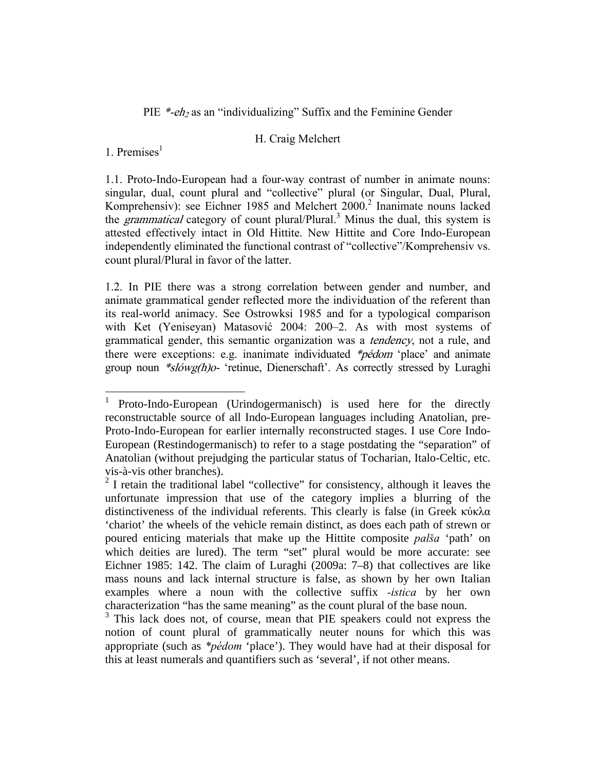PIE  $*$ -eh<sub>2</sub> as an "individualizing" Suffix and the Feminine Gender

## H. Craig Melchert

1. Premises $<sup>1</sup>$ </sup>

 $\overline{a}$ 

1.1. Proto-Indo-European had a four-way contrast of number in animate nouns: singular, dual, count plural and "collective" plural (or Singular, Dual, Plural, Komprehensiv): see Eichner 1985 and Melchert 2000.<sup>2</sup> Inanimate nouns lacked the *grammatical* category of count plural/Plural.<sup>3</sup> Minus the dual, this system is attested effectively intact in Old Hittite. New Hittite and Core Indo-European independently eliminated the functional contrast of "collective"/Komprehensiv vs. count plural/Plural in favor of the latter.

1.2. In PIE there was a strong correlation between gender and number, and animate grammatical gender reflected more the individuation of the referent than its real-world animacy. See Ostrowksi 1985 and for a typological comparison with Ket (Yeniseyan) Matasović 2004: 200–2. As with most systems of grammatical gender, this semantic organization was a tendency, not a rule, and there were exceptions: e.g. inanimate individuated \*pédom 'place' and animate group noun  $*slowg(h)o-$  'retinue, Dienerschaft'. As correctly stressed by Luraghi

<sup>1</sup> Proto-Indo-European (Urindogermanisch) is used here for the directly reconstructable source of all Indo-European languages including Anatolian, pre-Proto-Indo-European for earlier internally reconstructed stages. I use Core Indo-European (Restindogermanisch) to refer to a stage postdating the "separation" of Anatolian (without prejudging the particular status of Tocharian, Italo-Celtic, etc. vis-à-vis other branches).

 $2<sup>2</sup>$  I retain the traditional label "collective" for consistency, although it leaves the unfortunate impression that use of the category implies a blurring of the distinctiveness of the individual referents. This clearly is false (in Greek κύκλα 'chariot' the wheels of the vehicle remain distinct, as does each path of strewn or poured enticing materials that make up the Hittite composite *palša* 'path' on which deities are lured). The term "set" plural would be more accurate: see Eichner 1985: 142. The claim of Luraghi (2009a: 7–8) that collectives are like mass nouns and lack internal structure is false, as shown by her own Italian examples where a noun with the collective suffix *-istica* by her own characterization "has the same meaning" as the count plural of the base noun.

<sup>&</sup>lt;sup>3</sup> This lack does not, of course, mean that PIE speakers could not express the notion of count plural of grammatically neuter nouns for which this was appropriate (such as *\*pédom* 'place'). They would have had at their disposal for this at least numerals and quantifiers such as 'several', if not other means.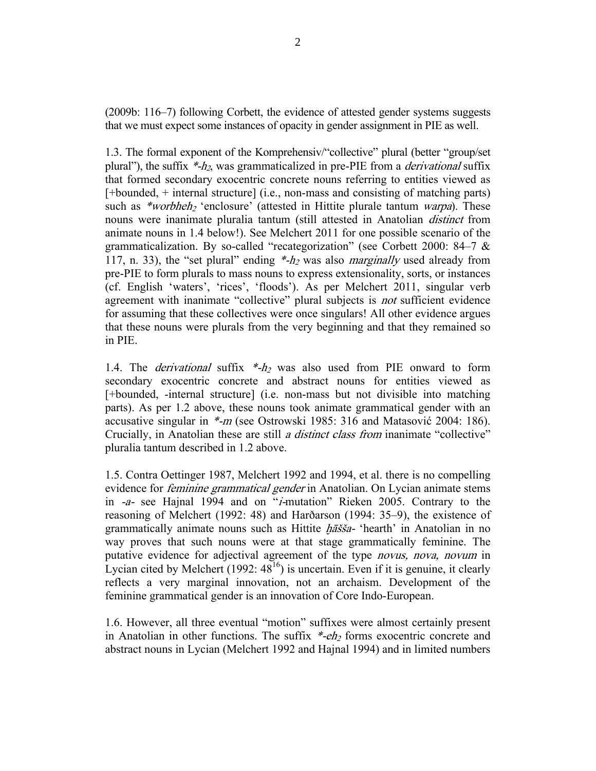(2009b: 116–7) following Corbett, the evidence of attested gender systems suggests that we must expect some instances of opacity in gender assignment in PIE as well.

1.3. The formal exponent of the Komprehensiv/"collective" plural (better "group/set plural"), the suffix  $A_2$  was grammaticalized in pre-PIE from a *derivational* suffix that formed secondary exocentric concrete nouns referring to entities viewed as [+bounded, + internal structure] (i.e., non-mass and consisting of matching parts) such as  $*wortheh<sub>2</sub>$  'enclosure' (attested in Hittite plurale tantum *warpa*). These nouns were inanimate pluralia tantum (still attested in Anatolian *distinct* from animate nouns in 1.4 below!). See Melchert 2011 for one possible scenario of the grammaticalization. By so-called "recategorization" (see Corbett 2000: 84–7 & 117, n. 33), the "set plural" ending  $A<sub>h2</sub>$  was also *marginally* used already from pre-PIE to form plurals to mass nouns to express extensionality, sorts, or instances (cf. English 'waters', 'rices', 'floods'). As per Melchert 2011, singular verb agreement with inanimate "collective" plural subjects is *not* sufficient evidence for assuming that these collectives were once singulars! All other evidence argues that these nouns were plurals from the very beginning and that they remained so in PIE.

1.4. The *derivational* suffix  $*-h<sub>2</sub>$  was also used from PIE onward to form secondary exocentric concrete and abstract nouns for entities viewed as [+bounded, -internal structure] (i.e. non-mass but not divisible into matching parts). As per 1.2 above, these nouns took animate grammatical gender with an accusative singular in \*-m (see Ostrowski 1985: 316 and Matasović 2004: 186). Crucially, in Anatolian these are still a distinct class from inanimate "collective" pluralia tantum described in 1.2 above.

1.5. Contra Oettinger 1987, Melchert 1992 and 1994, et al. there is no compelling evidence for *feminine grammatical gender* in Anatolian. On Lycian animate stems in -a- see Hajnal 1994 and on "i-mutation" Rieken 2005. Contrary to the reasoning of Melchert (1992: 48) and Harðarson (1994: 35–9), the existence of grammatically animate nouns such as Hittite  $h\bar{\alpha}\tilde{s}\tilde{s}a$ - 'hearth' in Anatolian in no way proves that such nouns were at that stage grammatically feminine. The putative evidence for adjectival agreement of the type *novus, nova, novum* in Lycian cited by Melchert (1992:  $48^{16}$ ) is uncertain. Even if it is genuine, it clearly reflects a very marginal innovation, not an archaism. Development of the feminine grammatical gender is an innovation of Core Indo-European.

1.6. However, all three eventual "motion" suffixes were almost certainly present in Anatolian in other functions. The suffix  $\ast$ - $eh_2$  forms exocentric concrete and abstract nouns in Lycian (Melchert 1992 and Hajnal 1994) and in limited numbers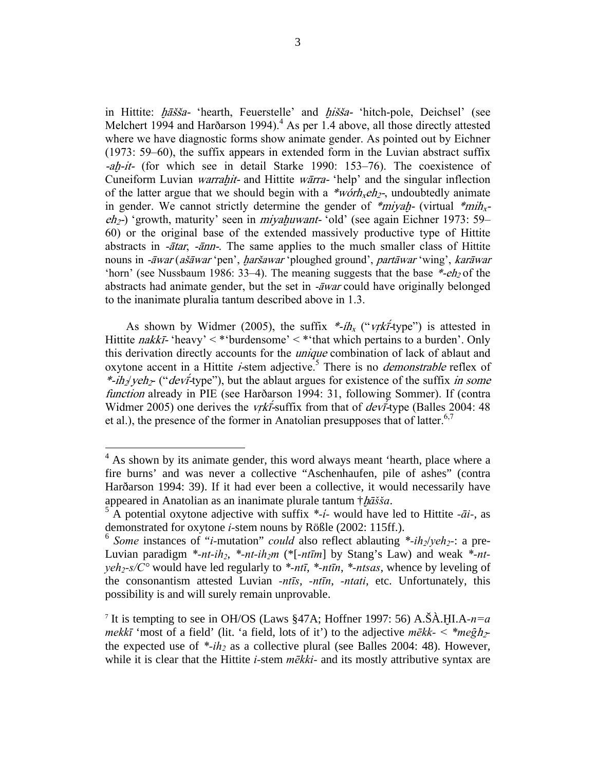in Hittite:  $h\overline{a}\overline{s}\overline{s}a$ - 'hearth, Feuerstelle' and  $h\overline{s}\overline{s}a$ - 'hitch-pole, Deichsel' (see Melchert 1994 and Harðarson 1994).<sup>4</sup> As per 1.4 above, all those directly attested where we have diagnostic forms show animate gender. As pointed out by Eichner (1973: 59–60), the suffix appears in extended form in the Luvian abstract suffix -ah-it- (for which see in detail Starke 1990: 153–76). The coexistence of Cuneiform Luvian *warraḫit*- and Hittite *wārra*- 'help' and the singular inflection of the latter argue that we should begin with a  $\sqrt[k]{\text{woh}_x \cdot \text{ch}_z}$ , undoubtedly animate in gender. We cannot strictly determine the gender of  $*miyab$ - (virtual  $*mih_x$  $eh_2$ -) 'growth, maturity' seen in *miyaḫuwant*- 'old' (see again Eichner 1973: 59– 60) or the original base of the extended massively productive type of Hittite abstracts in -*ātar*, -*ānn*-. The same applies to the much smaller class of Hittite nouns in -āwar (ašāwar 'pen', *ḫaršawar* 'ploughed ground', *partāwar* 'wing', karāwar 'horn' (see Nussbaum 1986: 33–4). The meaning suggests that the base  $*$ -*eh*<sub>2</sub> of the abstracts had animate gender, but the set in -*āwar* could have originally belonged to the inanimate pluralia tantum described above in 1.3.

As shown by Widmer (2005), the suffix  $\frac{d}{dx}$  ("v<sub>t</sub> type") is attested in Hittite *nakkī*- 'heavy' < \*'burdensome' < \*'that which pertains to a burden'. Only this derivation directly accounts for the *unique* combination of lack of ablaut and oxytone accent in a Hittite *i*-stem adjective.<sup>5</sup> There is no *demonstrable* reflex of \*-ih<sub>2</sub>/yeh<sub>2</sub>- ("devi<sup>-t</sup>ype"), but the ablaut argues for existence of the suffix in some function already in PIE (see Harðarson 1994: 31, following Sommer). If (contra Widmer 2005) one derives the *vrki*-suffix from that of *devi*-type (Balles 2004: 48 et al.), the presence of the former in Anatolian presupposes that of latter.<sup>6,7</sup>

<sup>&</sup>lt;sup>4</sup> As shown by its animate gender, this word always meant 'hearth, place where a fire burns' and was never a collective "Aschenhaufen, pile of ashes" (contra Harðarson 1994: 39). If it had ever been a collective, it would necessarily have appeared in Anatolian as an inanimate plurale tantum †ḫ*āšša*. 5

 $^5$  A potential oxytone adjective with suffix  $*$ -*i*- would have led to Hittite - $\bar{a}$ *i*-, as demonstrated for oxytone *i-*stem nouns by Rößle (2002: 115ff.).

<sup>&</sup>lt;sup>6</sup> *Some* instances of "*i*-mutation" *could* also reflect ablauting \*-*ih<sub>2</sub>/yeh<sub>2</sub>*-: a pre-Luvian paradigm \*-nt-ih<sub>2</sub>, \*-nt-ih<sub>2</sub>m (\*[-ntīm] by Stang's Law) and weak \*-nt*yeh2-s/C°* would have led regularly to *\*-ntī*, *\*-ntīn*, *\*-ntsas*, whence by leveling of the consonantism attested Luvian *-ntīs*, *-ntīn*, *-ntati*, etc. Unfortunately, this possibility is and will surely remain unprovable.

<sup>&</sup>lt;sup>7</sup> It is tempting to see in OH/OS (Laws §47A; Hoffner 1997: 56) A.Š $\hat{A}$ .HI.A- $n=a$ *mekk*<sup> $\bar{i}$ </sup> 'most of a field' (lit. 'a field, lots of it') to the adjective *m* $\bar{e}$ *kk*- < \**megh*<sub>2</sub>the expected use of  $\dot{x}$ -*ih<sub>2</sub>* as a collective plural (see Balles 2004: 48). However, while it is clear that the Hittite *i-*stem *mēkki-* and its mostly attributive syntax are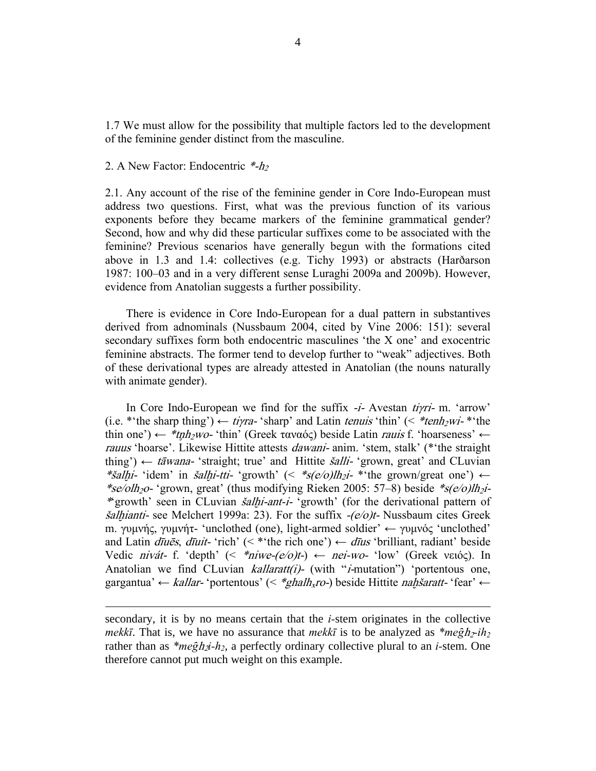1.7 We must allow for the possibility that multiple factors led to the development of the feminine gender distinct from the masculine.

2. A New Factor: Endocentric  $A_{2}$ 

 $\overline{a}$ 

2.1. Any account of the rise of the feminine gender in Core Indo-European must address two questions. First, what was the previous function of its various exponents before they became markers of the feminine grammatical gender? Second, how and why did these particular suffixes come to be associated with the feminine? Previous scenarios have generally begun with the formations cited above in 1.3 and 1.4: collectives (e.g. Tichy 1993) or abstracts (Harðarson 1987: 100–03 and in a very different sense Luraghi 2009a and 2009b). However, evidence from Anatolian suggests a further possibility.

There is evidence in Core Indo-European for a dual pattern in substantives derived from adnominals (Nussbaum 2004, cited by Vine 2006: 151): several secondary suffixes form both endocentric masculines 'the X one' and exocentric feminine abstracts. The former tend to develop further to "weak" adjectives. Both of these derivational types are already attested in Anatolian (the nouns naturally with animate gender).

In Core Indo-European we find for the suffix -i- Avestan tiyri- m. 'arrow' (i.e. \*'the sharp thing')  $\leftarrow$  tiyra-'sharp' and Latin tenuis 'thin' (< \*tenh<sub>2</sub>wi-\*'the thin one') ← \*tnh<sub>2</sub>wo- 'thin' (Greek ταναός) beside Latin *rauis* f. 'hoarseness' ← rauus 'hoarse'. Likewise Hittite attests *dawani*- anim. 'stem, stalk' (\*'the straight thing')  $\leftarrow$  tāwana- 'straight; true' and Hittite *šalli*- 'grown, great' and CLuvian \*šalhi- 'idem' in šalhi-tti- 'growth' (< \*s(e/o)lh<sub>21</sub>- \*'the grown/great one')  $\leftarrow$ \*se/olh<sub>2</sub>o- 'grown, great' (thus modifying Rieken 2005: 57–8) beside \*s(e/o)lh<sub>2</sub>i-\*growth' seen in CLuvian *šalhi-ant-i-* 'growth' (for the derivational pattern of  $\delta$ alhianti- see Melchert 1999a: 23). For the suffix  $-(e/e)t$ - Nussbaum cites Greek m. γυμνής, γυμνήτ- 'unclothed (one), light-armed soldier' ← γυμνός 'unclothed' and Latin *dīuēs, dīuit*- 'rich' (< \*'the rich one')  $\leftarrow$  *dīus* 'brilliant, radiant' beside Vedic nivát- f. 'depth' (< \*niwe-(e/o)t-)  $\leftarrow$  nei-wo- 'low' (Greek νειός). In Anatolian we find CLuvian  $kallarat(t)$ - (with "*i*-mutation") 'portentous one, gargantua' ← kallar- 'portentous' (< \*ghalh<sub>x</sub>ro-) beside Hittite naḫšaratt- 'fear' ←

secondary, it is by no means certain that the *i-*stem originates in the collective *mekkī*. That is, we have no assurance that *mekkī* is to be analyzed as  $\binom{m}{2}$ *k*- $\frac{1}{2}$ *h*<sub>2</sub> rather than as  $\ast megh_2i-h_2$ , a perfectly ordinary collective plural to an *i*-stem. One therefore cannot put much weight on this example.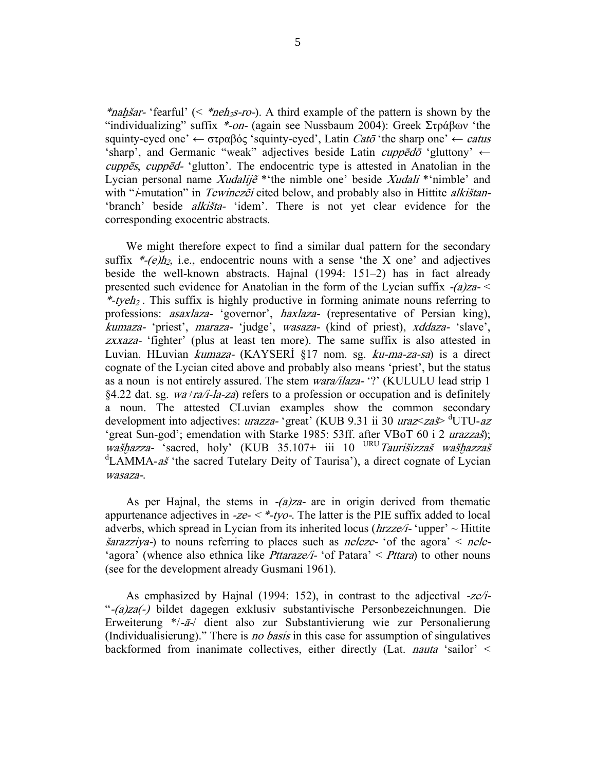\**nahšar*- 'fearful' (< \**neh<sub>2</sub>s-ro*-). A third example of the pattern is shown by the "individualizing" suffix \*-on- (again see Nussbaum 2004): Greek Στράβων 'the squinty-eyed one'  $\leftarrow \sigma \tau \rho \alpha \beta \dot{\alpha} \varsigma$  'squinty-eyed', Latin *Cato* 'the sharp one'  $\leftarrow$  *catus* 'sharp', and Germanic "weak" adjectives beside Latin *cuppēdō* 'gluttony'  $\leftarrow$ cuppēs, cuppēd- 'glutton'. The endocentric type is attested in Anatolian in the Lycian personal name Xudalij $\tilde{e}$  \*'the nimble one' beside Xudali \*'nimble' and with "*i*-mutation" in *Tewinezet* cited below, and probably also in Hittite *alkistan*-'branch' beside alkišta- 'idem'. There is not yet clear evidence for the corresponding exocentric abstracts.

We might therefore expect to find a similar dual pattern for the secondary suffix  $\ast$ -(e)h<sub>2</sub>, i.e., endocentric nouns with a sense 'the X one' and adjectives beside the well-known abstracts. Hajnal (1994: 151–2) has in fact already presented such evidence for Anatolian in the form of the Lycian suffix  $-(a)z^2$ \*-tyeh<sub>2</sub>. This suffix is highly productive in forming animate nouns referring to professions: asaxlaza- 'governor', haxlaza- (representative of Persian king), kumaza- 'priest', maraza- 'judge', wasaza- (kind of priest), xddaza- 'slave', zxxaza- 'fighter' (plus at least ten more). The same suffix is also attested in Luvian. HLuvian *kumaza*- (KAYSERİ §17 nom. sg. *ku-ma-za-sa*) is a direct cognate of the Lycian cited above and probably also means 'priest', but the status as a noun is not entirely assured. The stem *wara/ilaza-* '?' (KULULU lead strip 1) §4.22 dat. sg.  $wa + ra / i$ -la-za) refers to a profession or occupation and is definitely a noun. The attested CLuvian examples show the common secondary development into adjectives: *urazza*- 'great' (KUB 9.31 ii 30 *uraz<zaš*> <sup>d</sup>UTU-*az* 'great Sun-god'; emendation with Starke 1985: 53ff. after VBoT 60 i 2 urazzaš); wašhazza- 'sacred, holy' (KUB 35.107+ iii 10 <sup>URU</sup>Taurišizzaš wašhazzaš  $d$ LAMMA-*aš* 'the sacred Tutelary Deity of Taurisa'), a direct cognate of Lycian wasaza-.

As per Hajnal, the stems in  $-(a)z^a$ - are in origin derived from thematic appurtenance adjectives in -ze-  $\lt$  \*-tyo-. The latter is the PIE suffix added to local adverbs, which spread in Lycian from its inherited locus ( $hrzze/i$ - 'upper'  $\sim$  Hittite  $\frac{Sarazziva}{s}$  to nouns referring to places such as *neleze*- 'of the agora' < *nele*-'agora' (whence also ethnica like *Pttaraze/i*- 'of Patara'  $\leq$  *Pttara*) to other nouns (see for the development already Gusmani 1961).

As emphasized by Hajnal (1994: 152), in contrast to the adjectival  $-ze/i$ -"-(a)za(-) bildet dagegen exklusiv substantivische Personbezeichnungen. Die Erweiterung \*/-ā-/ dient also zur Substantivierung wie zur Personalierung (Individualisierung)." There is *no basis* in this case for assumption of singulatives backformed from inanimate collectives, either directly (Lat. *nauta* 'sailor' <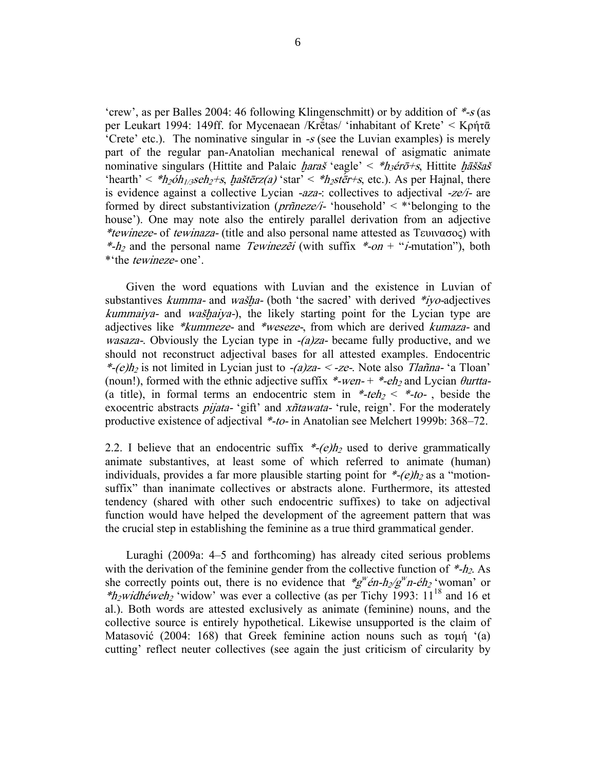'crew', as per Balles 2004: 46 following Klingenschmitt) or by addition of \*-s (as per Leukart 1994: 149ff. for Mycenaean /Krētas/ 'inhabitant of Krete' < Κρήτᾱ 'Crete' etc.). The nominative singular in  $-s$  (see the Luvian examples) is merely part of the regular pan-Anatolian mechanical renewal of asigmatic animate nominative singulars (Hittite and Palaic  $hara\delta$  'eagle' <  $*h_3\acute{e}r\bar{o}+s$ , Hittite  $h\bar{a}\check{s}\check{s}a\check{s}$ 'hearth' <  $*h_2 \delta h_{1/3}$ seh<sub>2</sub>+s, haštērz(a) 'star' <  $*h_2$ stēr+s, etc.). As per Hajnal, there is evidence against a collective Lycian  $-aza$ : collectives to adjectival  $-ze/i$ - are formed by direct substantivization (*primeze*/*i*- 'household' < \* 'belonging to the house'). One may note also the entirely parallel derivation from an adjective \*tewineze- of tewinaza- (title and also personal name attested as Τευινασος) with \*-h<sub>2</sub> and the personal name *Tewinez* $\tilde{e}$ *i* (with suffix \*-*on* + "*i*-mutation"), both \*'the tewineze- one'.

Given the word equations with Luvian and the existence in Luvian of substantives *kumma*- and *wašha*- (both 'the sacred' with derived  $**iyo*$ -adjectives kummaiya- and wašhaiya-), the likely starting point for the Lycian type are adjectives like \**kummeze*- and \**weseze*-, from which are derived *kumaza*- and *wasaza*-. Obviously the Lycian type in  $-(a)$ *za*- became fully productive, and we should not reconstruct adjectival bases for all attested examples. Endocentric \*-(e)h<sub>2</sub> is not limited in Lycian just to  $-(a)z^2 - z^2$ . Note also *Tlañna*- 'a Tloan' (noun!), formed with the ethnic adjective suffix  $*$ -wen-  $*$ -eh<sub>2</sub> and Lycian *θurtta*-(a title), in formal terms an endocentric stem in \*-teh<sub>2</sub> < \*-to-, beside the exocentric abstracts *pijata*- 'gift' and xntawata- 'rule, reign'. For the moderately productive existence of adjectival \*-to- in Anatolian see Melchert 1999b: 368–72.

2.2. I believe that an endocentric suffix  $\ast$ -(e) $h_2$  used to derive grammatically animate substantives, at least some of which referred to animate (human) individuals, provides a far more plausible starting point for  $\ast$ -(e) $h_2$  as a "motionsuffix" than inanimate collectives or abstracts alone. Furthermore, its attested tendency (shared with other such endocentric suffixes) to take on adjectival function would have helped the development of the agreement pattern that was the crucial step in establishing the feminine as a true third grammatical gender.

Luraghi (2009a: 4–5 and forthcoming) has already cited serious problems with the derivation of the feminine gender from the collective function of  $*$ -h<sub>2</sub>. As she correctly points out, there is no evidence that  $*g^w \acute{e}n-h_2/g^w n-\acute{e}h_2$  'woman' or \*h<sub>2</sub>widhéweh<sub>2</sub> 'widow' was ever a collective (as per Tichy 1993:  $11^{18}$  and 16 et al.). Both words are attested exclusively as animate (feminine) nouns, and the collective source is entirely hypothetical. Likewise unsupported is the claim of Matasović (2004: 168) that Greek feminine action nouns such as τομή '(a) cutting' reflect neuter collectives (see again the just criticism of circularity by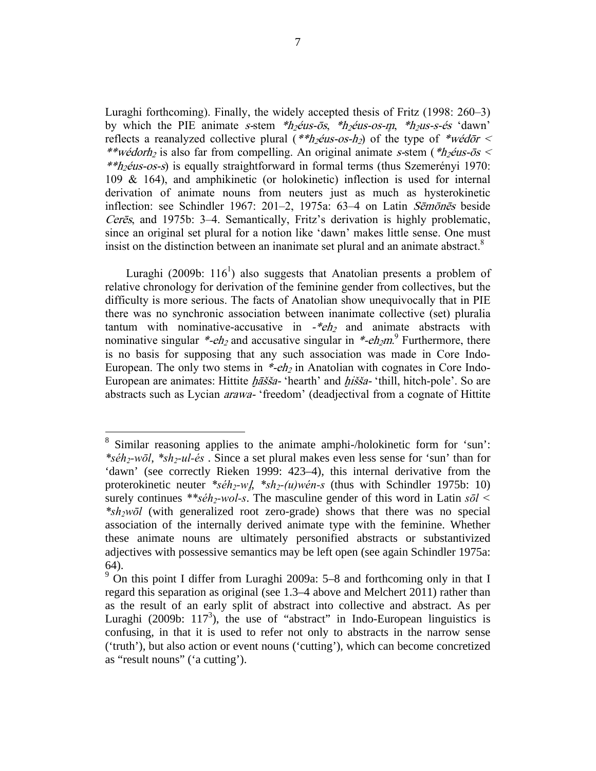Luraghi forthcoming). Finally, the widely accepted thesis of Fritz (1998: 260–3) by which the PIE animate s-stem  $*h_2 \acute{e}us- \bar{os}$ ,  $*h_2 \acute{e}us- \bar{os}$ -m,  $*h_2us-s- \acute{e}s$  'dawn' reflects a reanalyzed collective plural (\*\* $h_2$ éus-os- $h_2$ ) of the type of \*wédōr < \*\*wédorh<sub>2</sub> is also far from compelling. An original animate s-stem (\*h<sub>2</sub>éus- $\bar{\sigma}s$  < \*\* $h_2$ éus-os-s) is equally straightforward in formal terms (thus Szemerényi 1970: 109 & 164), and amphikinetic (or holokinetic) inflection is used for internal derivation of animate nouns from neuters just as much as hysterokinetic inflection: see Schindler 1967: 201–2, 1975a: 63–4 on Latin  $S\bar{e}m\bar{o}n\bar{e}s$  beside Cerēs, and 1975b: 3–4. Semantically, Fritz's derivation is highly problematic, since an original set plural for a notion like 'dawn' makes little sense. One must insist on the distinction between an inanimate set plural and an animate abstract.<sup>8</sup>

Luraghi (2009b:  $116<sup>1</sup>$ ) also suggests that Anatolian presents a problem of relative chronology for derivation of the feminine gender from collectives, but the difficulty is more serious. The facts of Anatolian show unequivocally that in PIE there was no synchronic association between inanimate collective (set) pluralia tantum with nominative-accusative in  $-\epsilon h_2$  and animate abstracts with nominative singular \*-*eh<sub>2</sub>* and accusative singular in \*-*eh<sub>2</sub>m*.<sup>9</sup> Furthermore, there is no basis for supposing that any such association was made in Core Indo-European. The only two stems in  $*$ - $eh_2$  in Anatolian with cognates in Core Indo-European are animates: Hittite *hāšša*- 'hearth' and *hišša*- 'thill, hitch-pole'. So are abstracts such as Lycian *arawa*- 'freedom' (deadjectival from a cognate of Hittite

1

<sup>&</sup>lt;sup>8</sup> Similar reasoning applies to the animate amphi-/holokinetic form for 'sun': *\*séh2-wōl*, *\*sh2-ul-és* . Since a set plural makes even less sense for 'sun' than for 'dawn' (see correctly Rieken 1999: 423–4), this internal derivative from the proterokinetic neuter *\*séh<sub>2</sub>-w<sub>1</sub>*, *\*sh<sub>2</sub>-(u)wén-s* (thus with Schindler 1975b: 10) surely continues \*\*séh<sub>2</sub>-wol-s. The masculine gender of this word in Latin  $s\bar{o}l$  < *\*sh2wōl* (with generalized root zero-grade) shows that there was no special association of the internally derived animate type with the feminine. Whether these animate nouns are ultimately personified abstracts or substantivized adjectives with possessive semantics may be left open (see again Schindler 1975a: 64).

 $9$  On this point I differ from Luraghi 2009a: 5–8 and forthcoming only in that I regard this separation as original (see 1.3–4 above and Melchert 2011) rather than as the result of an early split of abstract into collective and abstract. As per Luraghi (2009b:  $117<sup>3</sup>$ ), the use of "abstract" in Indo-European linguistics is confusing, in that it is used to refer not only to abstracts in the narrow sense ('truth'), but also action or event nouns ('cutting'), which can become concretized as "result nouns" ('a cutting').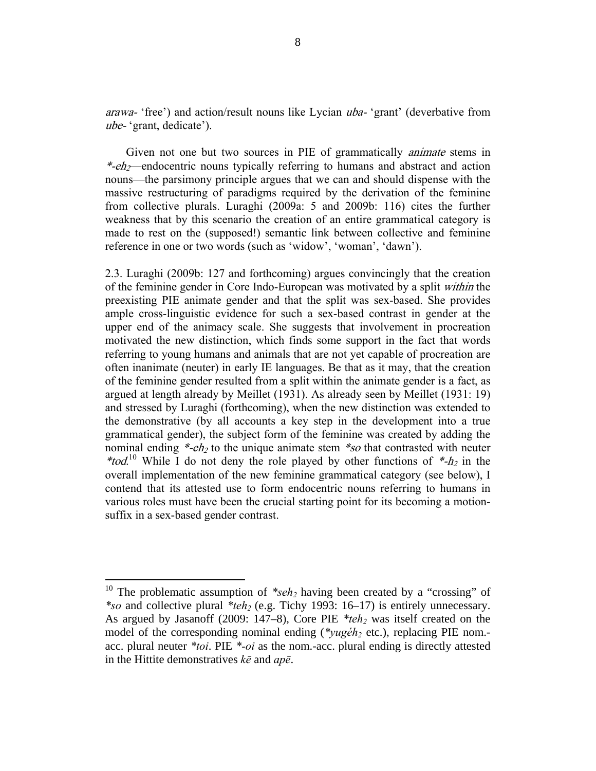arawa- 'free') and action/result nouns like Lycian uba- 'grant' (deverbative from ube- 'grant, dedicate').

Given not one but two sources in PIE of grammatically animate stems in \*- $eh_2$ —endocentric nouns typically referring to humans and abstract and action nouns—the parsimony principle argues that we can and should dispense with the massive restructuring of paradigms required by the derivation of the feminine from collective plurals. Luraghi (2009a: 5 and 2009b: 116) cites the further weakness that by this scenario the creation of an entire grammatical category is made to rest on the (supposed!) semantic link between collective and feminine reference in one or two words (such as 'widow', 'woman', 'dawn').

2.3. Luraghi (2009b: 127 and forthcoming) argues convincingly that the creation of the feminine gender in Core Indo-European was motivated by a split within the preexisting PIE animate gender and that the split was sex-based. She provides ample cross-linguistic evidence for such a sex-based contrast in gender at the upper end of the animacy scale. She suggests that involvement in procreation motivated the new distinction, which finds some support in the fact that words referring to young humans and animals that are not yet capable of procreation are often inanimate (neuter) in early IE languages. Be that as it may, that the creation of the feminine gender resulted from a split within the animate gender is a fact, as argued at length already by Meillet (1931). As already seen by Meillet (1931: 19) and stressed by Luraghi (forthcoming), when the new distinction was extended to the demonstrative (by all accounts a key step in the development into a true grammatical gender), the subject form of the feminine was created by adding the nominal ending \*-eh<sub>2</sub> to the unique animate stem \*so that contrasted with neuter \*tod.<sup>10</sup> While I do not deny the role played by other functions of \*- $h_2$  in the overall implementation of the new feminine grammatical category (see below), I contend that its attested use to form endocentric nouns referring to humans in various roles must have been the crucial starting point for its becoming a motionsuffix in a sex-based gender contrast.

<u>.</u>

<sup>&</sup>lt;sup>10</sup> The problematic assumption of  $*seh_2$  having been created by a "crossing" of *\*so* and collective plural *\*teh2* (e.g. Tichy 1993: 16–17) is entirely unnecessary. As argued by Jasanoff (2009: 147–8), Core PIE *\*teh<sub>2</sub>* was itself created on the model of the corresponding nominal ending (*\*yugéh<sub>2</sub>* etc.), replacing PIE nom.acc. plural neuter *\*toi*. PIE *\*-oi* as the nom.-acc. plural ending is directly attested in the Hittite demonstratives *kē* and *apē*.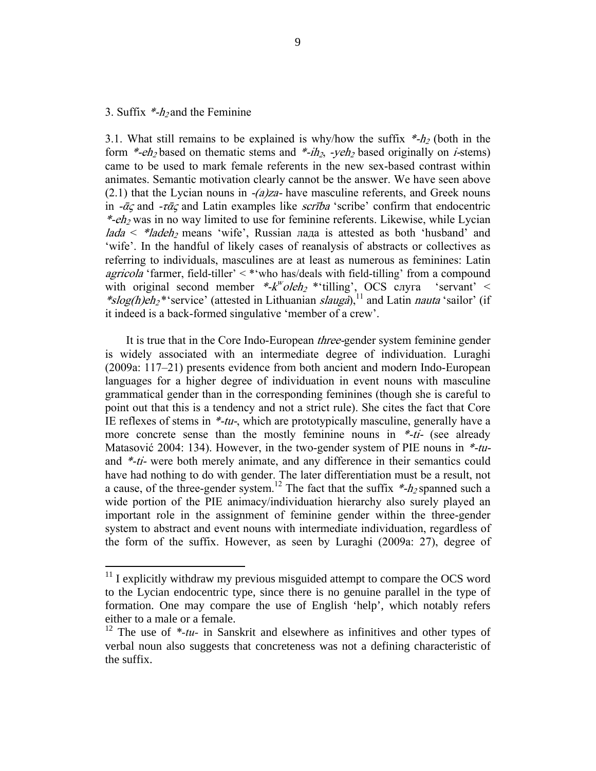## 3. Suffix  $A_{2}$  and the Feminine

 $\overline{a}$ 

3.1. What still remains to be explained is why/how the suffix  $*-h_2$  (both in the form \*-eh<sub>2</sub> based on thematic stems and \*-ih<sub>2</sub>, -yeh<sub>2</sub> based originally on *i*-stems) came to be used to mark female referents in the new sex-based contrast within animates. Semantic motivation clearly cannot be the answer. We have seen above  $(2.1)$  that the Lycian nouns in  $-(a)z^a$ - have masculine referents, and Greek nouns in  $-\bar{\alpha}\zeta$  and  $-\tau\bar{\alpha}\zeta$  and Latin examples like *scrība* 'scribe' confirm that endocentric \*- $eh_2$  was in no way limited to use for feminine referents. Likewise, while Lycian  $lada < *ladeh<sub>2</sub>$  means 'wife', Russian лада is attested as both 'husband' and 'wife'. In the handful of likely cases of reanalysis of abstracts or collectives as referring to individuals, masculines are at least as numerous as feminines: Latin *agricola* 'farmer, field-tiller' < \*'who has/deals with field-tilling' from a compound with original second member  $*$ - $k^{\nu}$ oleh<sub>2</sub> \*'tilling', OCS слуга 'servant' < \*slog(h)eh<sub>2</sub>\*'service' (attested in Lithuanian slauga),<sup>11</sup> and Latin nauta 'sailor' (if it indeed is a back-formed singulative 'member of a crew'.

It is true that in the Core Indo-European three-gender system feminine gender is widely associated with an intermediate degree of individuation. Luraghi (2009a: 117–21) presents evidence from both ancient and modern Indo-European languages for a higher degree of individuation in event nouns with masculine grammatical gender than in the corresponding feminines (though she is careful to point out that this is a tendency and not a strict rule). She cites the fact that Core IE reflexes of stems in  $*$ -tu-, which are prototypically masculine, generally have a more concrete sense than the mostly feminine nouns in  $*$ -ti- (see already Matasović 2004: 134). However, in the two-gender system of PIE nouns in  $*$ -tuand \*-ti- were both merely animate, and any difference in their semantics could have had nothing to do with gender. The later differentiation must be a result, not a cause, of the three-gender system.<sup>12</sup> The fact that the suffix  $*$ -h<sub>2</sub> spanned such a wide portion of the PIE animacy/individuation hierarchy also surely played an important role in the assignment of feminine gender within the three-gender system to abstract and event nouns with intermediate individuation, regardless of the form of the suffix. However, as seen by Luraghi (2009a: 27), degree of

 $11$  I explicitly withdraw my previous misguided attempt to compare the OCS word to the Lycian endocentric type, since there is no genuine parallel in the type of formation. One may compare the use of English 'help', which notably refers either to a male or a female.

<sup>&</sup>lt;sup>12</sup> The use of \*-*tu*- in Sanskrit and elsewhere as infinitives and other types of verbal noun also suggests that concreteness was not a defining characteristic of the suffix.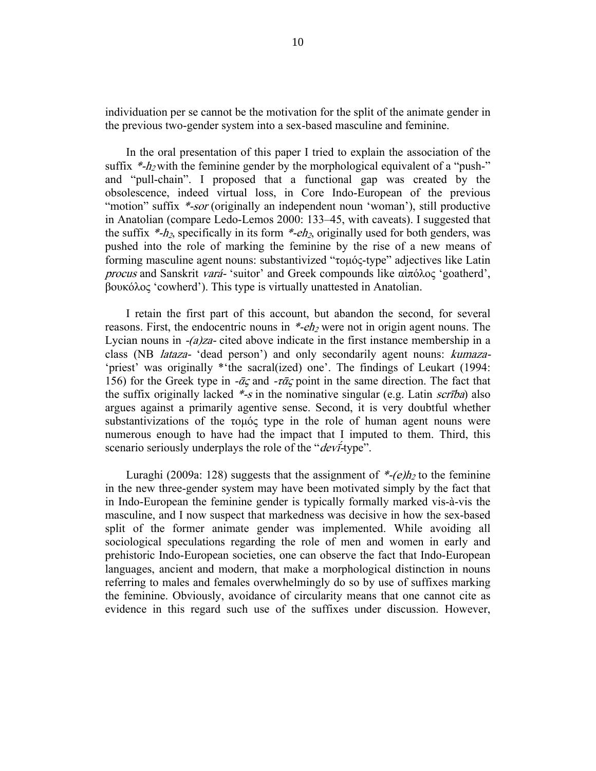individuation per se cannot be the motivation for the split of the animate gender in the previous two-gender system into a sex-based masculine and feminine.

In the oral presentation of this paper I tried to explain the association of the suffix  $A_2$  with the feminine gender by the morphological equivalent of a "push-" and "pull-chain". I proposed that a functional gap was created by the obsolescence, indeed virtual loss, in Core Indo-European of the previous "motion" suffix \*-sor (originally an independent noun 'woman'), still productive in Anatolian (compare Ledo-Lemos 2000: 133–45, with caveats). I suggested that the suffix  $A_2$ , specifically in its form  $A_2$ , originally used for both genders, was pushed into the role of marking the feminine by the rise of a new means of forming masculine agent nouns: substantivized "τομός-type" adjectives like Latin procus and Sanskrit vará- 'suitor' and Greek compounds like αἰπόλος 'goatherd', βουκόλος 'cowherd'). This type is virtually unattested in Anatolian.

I retain the first part of this account, but abandon the second, for several reasons. First, the endocentric nouns in  $*$ -eh<sub>2</sub> were not in origin agent nouns. The Lycian nouns in  $-(a)z^a$ - cited above indicate in the first instance membership in a class (NB lataza- 'dead person') and only secondarily agent nouns: kumaza- 'priest' was originally \*'the sacral(ized) one'. The findings of Leukart (1994: 156) for the Greek type in - $\bar{a}\zeta$  and - $\tau\bar{a}\zeta$  point in the same direction. The fact that the suffix originally lacked  $*$ -s in the nominative singular (e.g. Latin scrība) also argues against a primarily agentive sense. Second, it is very doubtful whether substantivizations of the τομός type in the role of human agent nouns were numerous enough to have had the impact that I imputed to them. Third, this scenario seriously underplays the role of the "*devi*-type".

Luraghi (2009a: 128) suggests that the assignment of  $\ast$ -(e) $h_2$  to the feminine in the new three-gender system may have been motivated simply by the fact that in Indo-European the feminine gender is typically formally marked vis-à-vis the masculine, and I now suspect that markedness was decisive in how the sex-based split of the former animate gender was implemented. While avoiding all sociological speculations regarding the role of men and women in early and prehistoric Indo-European societies, one can observe the fact that Indo-European languages, ancient and modern, that make a morphological distinction in nouns referring to males and females overwhelmingly do so by use of suffixes marking the feminine. Obviously, avoidance of circularity means that one cannot cite as evidence in this regard such use of the suffixes under discussion. However,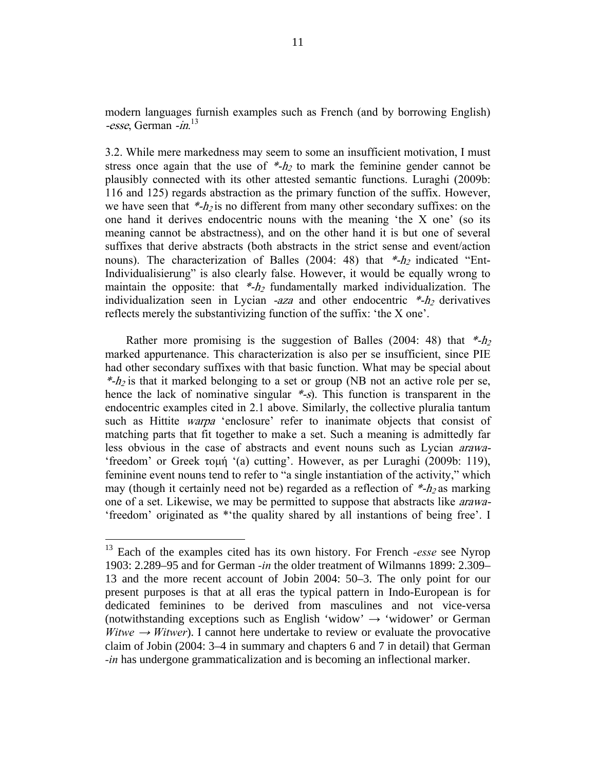modern languages furnish examples such as French (and by borrowing English) -esse, German -in.<sup>13</sup>

3.2. While mere markedness may seem to some an insufficient motivation, I must stress once again that the use of  $A_2$  to mark the feminine gender cannot be plausibly connected with its other attested semantic functions. Luraghi (2009b: 116 and 125) regards abstraction as the primary function of the suffix. However, we have seen that  $*$ -h<sub>2</sub> is no different from many other secondary suffixes: on the one hand it derives endocentric nouns with the meaning 'the X one' (so its meaning cannot be abstractness), and on the other hand it is but one of several suffixes that derive abstracts (both abstracts in the strict sense and event/action nouns). The characterization of Balles (2004: 48) that  $*$ -h<sub>2</sub> indicated "Ent-Individualisierung" is also clearly false. However, it would be equally wrong to maintain the opposite: that  $A_{2}$  fundamentally marked individualization. The individualization seen in Lycian -aza and other endocentric  $*$ - $h<sub>2</sub>$  derivatives reflects merely the substantivizing function of the suffix: 'the X one'.

Rather more promising is the suggestion of Balles (2004: 48) that  $*_{-h_2}$ marked appurtenance. This characterization is also per se insufficient, since PIE had other secondary suffixes with that basic function. What may be special about  $*$ - $h_2$  is that it marked belonging to a set or group (NB not an active role per se, hence the lack of nominative singular  $*$ -s). This function is transparent in the endocentric examples cited in 2.1 above. Similarly, the collective pluralia tantum such as Hittite *warpa* 'enclosure' refer to inanimate objects that consist of matching parts that fit together to make a set. Such a meaning is admittedly far less obvious in the case of abstracts and event nouns such as Lycian *arawa*-'freedom' or Greek τομή '(a) cutting'. However, as per Luraghi (2009b: 119), feminine event nouns tend to refer to "a single instantiation of the activity," which may (though it certainly need not be) regarded as a reflection of  $*-h_2$  as marking one of a set. Likewise, we may be permitted to suppose that abstracts like *arawa*-'freedom' originated as \*'the quality shared by all instantions of being free'. I

 $\overline{a}$ 

<sup>13</sup> Each of the examples cited has its own history. For French *-esse* see Nyrop 1903: 2.289–95 and for German *-in* the older treatment of Wilmanns 1899: 2.309– 13 and the more recent account of Jobin 2004: 50–3. The only point for our present purposes is that at all eras the typical pattern in Indo-European is for dedicated feminines to be derived from masculines and not vice-versa (notwithstanding exceptions such as English 'widow'  $\rightarrow$  'widower' or German *Witwe*  $\rightarrow$  *Witwer*). I cannot here undertake to review or evaluate the provocative claim of Jobin (2004: 3–4 in summary and chapters 6 and 7 in detail) that German *-in* has undergone grammaticalization and is becoming an inflectional marker.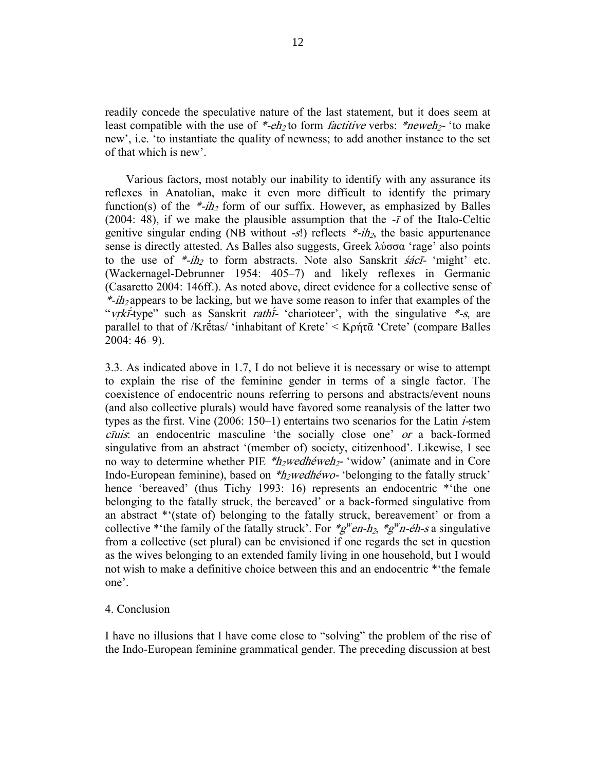readily concede the speculative nature of the last statement, but it does seem at least compatible with the use of \*-eh<sub>2</sub> to form *factitive* verbs: \**neweh*<sub>2</sub>- 'to make new', i.e. 'to instantiate the quality of newness; to add another instance to the set of that which is new'.

Various factors, most notably our inability to identify with any assurance its reflexes in Anatolian, make it even more difficult to identify the primary function(s) of the  $\ast$ -*ih<sub>2</sub>* form of our suffix. However, as emphasized by Balles (2004: 48), if we make the plausible assumption that the  $-*i*$  of the Italo-Celtic genitive singular ending (NB without -s!) reflects  $*$ -*ih*<sub>2</sub>, the basic appurtenance sense is directly attested. As Balles also suggests, Greek λύσσα 'rage' also points to the use of  $\ast$ -ih<sub>2</sub> to form abstracts. Note also Sanskrit *śácī*- 'might' etc. (Wackernagel-Debrunner 1954: 405–7) and likely reflexes in Germanic (Casaretto 2004: 146ff.). As noted above, direct evidence for a collective sense of  $*$ -*ih<sub>2</sub>* appears to be lacking, but we have some reason to infer that examples of the "*vrki*-type" such as Sanskrit *rathi*- 'charioteer', with the singulative  $*_s$ , are parallel to that of /Krētas/ 'inhabitant of Krete' < Κρήτᾱ 'Crete' (compare Balles 2004: 46–9).

3.3. As indicated above in 1.7, I do not believe it is necessary or wise to attempt to explain the rise of the feminine gender in terms of a single factor. The coexistence of endocentric nouns referring to persons and abstracts/event nouns (and also collective plurals) would have favored some reanalysis of the latter two types as the first. Vine  $(2006: 150-1)$  entertains two scenarios for the Latin *i*-stem <sup>c</sup>īuis: an endocentric masculine 'the socially close one' or a back-formed singulative from an abstract '(member of) society, citizenhood'. Likewise, I see no way to determine whether PIE  $*h_2$ wedhéweh<sub>2</sub>- 'widow' (animate and in Core Indo-European feminine), based on  $*h_2$ wedhéwo- 'belonging to the fatally struck' hence 'bereaved' (thus Tichy 1993: 16) represents an endocentric \*'the one belonging to the fatally struck, the bereaved' or a back-formed singulative from an abstract \*'(state of) belonging to the fatally struck, bereavement' or from a collective \*'the family of the fatally struck'. For  $*g^w$ en- $h_2$ ,  $*g^w$ n-éh-s a singulative from a collective (set plural) can be envisioned if one regards the set in question as the wives belonging to an extended family living in one household, but I would not wish to make a definitive choice between this and an endocentric \*'the female one'.

## 4. Conclusion

I have no illusions that I have come close to "solving" the problem of the rise of the Indo-European feminine grammatical gender. The preceding discussion at best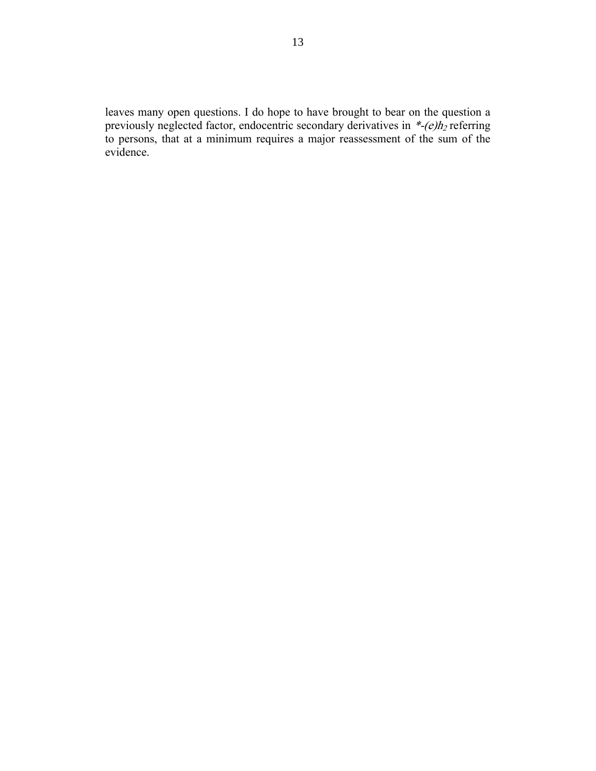leaves many open questions. I do hope to have brought to bear on the question a previously neglected factor, endocentric secondary derivatives in  $*(e)h_2$  referring to persons, that at a minimum requires a major reassessment of the sum of the evidence.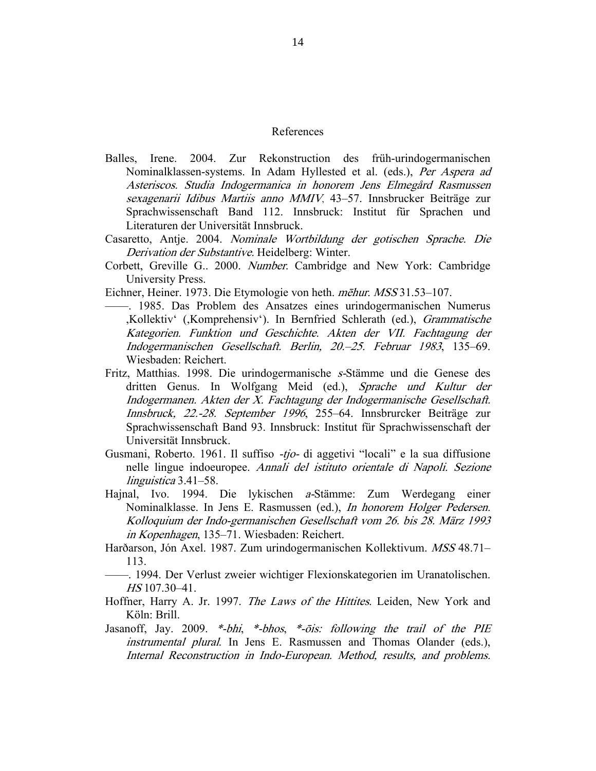## References

- Balles, Irene. 2004. Zur Rekonstruction des früh-urindogermanischen Nominalklassen-systems. In Adam Hyllested et al. (eds.), Per Aspera ad Asteriscos. Studia Indogermanica in honorem Jens Elmegård Rasmussen sexagenarii Idibus Martiis anno MMIV, 43–57. Innsbrucker Beiträge zur Sprachwissenschaft Band 112. Innsbruck: Institut für Sprachen und Literaturen der Universität Innsbruck.
- Casaretto, Antje. 2004. Nominale Wortbildung der gotischen Sprache. Die Derivation der Substantive. Heidelberg: Winter.
- Corbett, Greville G.. 2000. Number. Cambridge and New York: Cambridge University Press.
- Eichner, Heiner. 1973. Die Etymologie von heth. mēhur. MSS 31.53–107.
- ——. 1985. Das Problem des Ansatzes eines urindogermanischen Numerus ,Kollektiv' (,Komprehensiv'). In Bernfried Schlerath (ed.), Grammatische Kategorien. Funktion und Geschichte. Akten der VII. Fachtagung der Indogermanischen Gesellschaft. Berlin, 20.–25. Februar 1983, 135–69. Wiesbaden: Reichert.
- Fritz, Matthias. 1998. Die urindogermanische s-Stämme und die Genese des dritten Genus. In Wolfgang Meid (ed.), Sprache und Kultur der Indogermanen. Akten der X. Fachtagung der Indogermanische Gesellschaft. Innsbruck, 22.-28. September 1996, 255–64. Innsbrurcker Beiträge zur Sprachwissenschaft Band 93. Innsbruck: Institut für Sprachwissenschaft der Universität Innsbruck.
- Gusmani, Roberto. 1961. Il suffiso -tjo- di aggetivi "locali" e la sua diffusione nelle lingue indoeuropee. Annali del istituto orientale di Napoli. Sezione linguistica 3.41–58.
- Hajnal, Ivo. 1994. Die lykischen a-Stämme: Zum Werdegang einer Nominalklasse. In Jens E. Rasmussen (ed.), In honorem Holger Pedersen. Kolloquium der Indo-germanischen Gesellschaft vom 26. bis 28. März 1993 in Kopenhagen, 135–71. Wiesbaden: Reichert.
- Harðarson, Jón Axel. 1987. Zum urindogermanischen Kollektivum. MSS 48.71– 113.
- ——. 1994. Der Verlust zweier wichtiger Flexionskategorien im Uranatolischen. HS 107.30–41.
- Hoffner, Harry A. Jr. 1997. *The Laws of the Hittites*. Leiden, New York and Köln: Brill.
- Jasanoff, Jay. 2009. \*-bhi, \*-bhos, \*-ōis: following the trail of the PIE instrumental plural. In Jens E. Rasmussen and Thomas Olander (eds.), Internal Reconstruction in Indo-European. Method, results, and problems.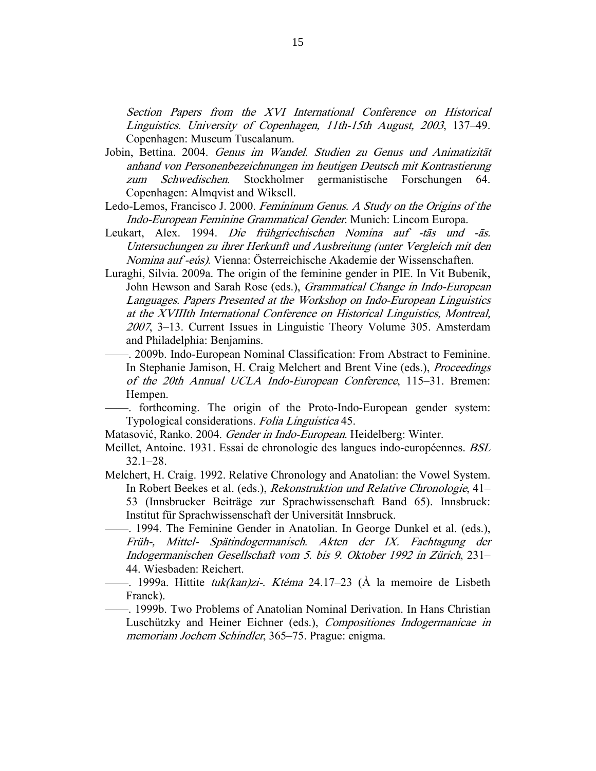Section Papers from the XVI International Conference on Historical Linguistics. University of Copenhagen, 11th-15th August, 2003, 137–49. Copenhagen: Museum Tuscalanum.

- Jobin, Bettina. 2004. Genus im Wandel. Studien zu Genus und Animatizität anhand von Personenbezeichnungen im heutigen Deutsch mit Kontrastierung zum Schwedischen. Stockholmer germanistische Forschungen 64. Copenhagen: Almqvist and Wiksell.
- Ledo-Lemos, Francisco J. 2000. Femininum Genus. A Study on the Origins of the Indo-European Feminine Grammatical Gender. Munich: Lincom Europa.
- Leukart, Alex. 1994. Die frühgriechischen Nomina auf -tās und -ās. Untersuchungen zu ihrer Herkunft und Ausbreitung (unter Vergleich mit den Nomina auf -eús). Vienna: Österreichische Akademie der Wissenschaften.
- Luraghi, Silvia. 2009a. The origin of the feminine gender in PIE. In Vit Bubenik, John Hewson and Sarah Rose (eds.), Grammatical Change in Indo-European Languages. Papers Presented at the Workshop on Indo-European Linguistics at the XVIIIth International Conference on Historical Linguistics, Montreal, <sup>2007</sup>, 3–13. Current Issues in Linguistic Theory Volume 305. Amsterdam and Philadelphia: Benjamins.
- ——. 2009b. Indo-European Nominal Classification: From Abstract to Feminine. In Stephanie Jamison, H. Craig Melchert and Brent Vine (eds.), Proceedings of the 20th Annual UCLA Indo-European Conference, 115–31. Bremen: Hempen.
- ——. forthcoming. The origin of the Proto-Indo-European gender system: Typological considerations. Folia Linguistica 45.
- Matasović, Ranko. 2004. Gender in Indo-European. Heidelberg: Winter.
- Meillet, Antoine. 1931. Essai de chronologie des langues indo-européennes. BSL 32.1–28.
- Melchert, H. Craig. 1992. Relative Chronology and Anatolian: the Vowel System. In Robert Beekes et al. (eds.), Rekonstruktion und Relative Chronologie, 41– 53 (Innsbrucker Beiträge zur Sprachwissenschaft Band 65). Innsbruck: Institut für Sprachwissenschaft der Universität Innsbruck.
	- ——. 1994. The Feminine Gender in Anatolian. In George Dunkel et al. (eds.), Früh-, Mittel- Spätindogermanisch. Akten der IX. Fachtagung der Indogermanischen Gesellschaft vom 5. bis 9. Oktober 1992 in Zürich, 231– 44. Wiesbaden: Reichert.
- —. 1999a. Hittite *tuk(kan)zi-. Ktéma* 24.17–23 (À la memoire de Lisbeth Franck).
- ——. 1999b. Two Problems of Anatolian Nominal Derivation. In Hans Christian Luschützky and Heiner Eichner (eds.), Compositiones Indogermanicae in memoriam Jochem Schindler, 365–75. Prague: enigma.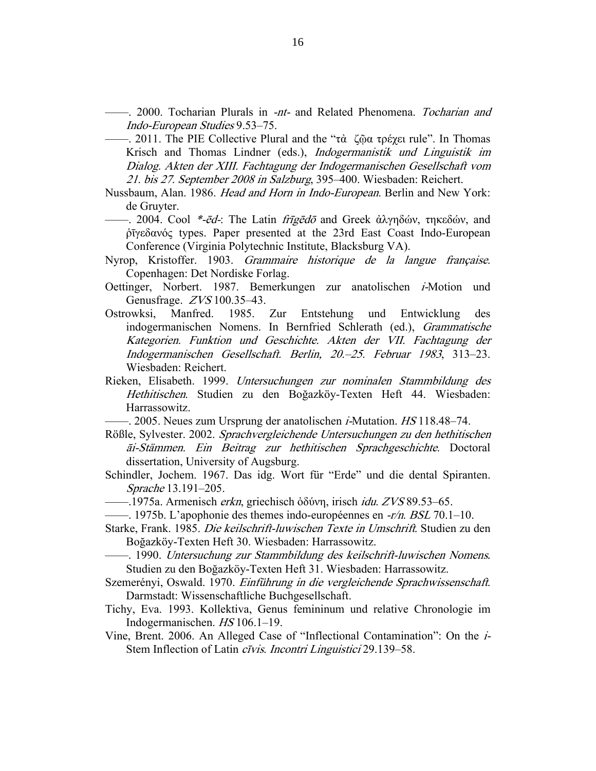——. 2000. Tocharian Plurals in -nt- and Related Phenomena. Tocharian and Indo-European Studies 9.53–75.

- ——. 2011. The PIE Collective Plural and the "τὰ ζῷα τρέχει rule". In Thomas Krisch and Thomas Lindner (eds.), Indogermanistik und Linguistik im Dialog. Akten der XIII. Fachtagung der Indogermanischen Gesellschaft vom 21. bis 27. September 2008 in Salzburg, 395–400. Wiesbaden: Reichert.
- Nussbaum, Alan. 1986. Head and Horn in Indo-European. Berlin and New York: de Gruyter.
- ——. 2004. Cool \*-ēd-: The Latin *frīgēdō* and Greek ἀλγηδών, τηκεδών, and ῥῑγεδανός types. Paper presented at the 23rd East Coast Indo-European Conference (Virginia Polytechnic Institute, Blacksburg VA).
- Nyrop, Kristoffer. 1903. Grammaire historique de la langue française. Copenhagen: Det Nordiske Forlag.
- Oettinger, Norbert. 1987. Bemerkungen zur anatolischen i-Motion und Genusfrage. ZVS 100.35–43.
- Ostrowksi, Manfred. 1985. Zur Entstehung und Entwicklung des indogermanischen Nomens. In Bernfried Schlerath (ed.), Grammatische Kategorien. Funktion und Geschichte. Akten der VII. Fachtagung der Indogermanischen Gesellschaft. Berlin, 20.–25. Februar 1983, 313–23. Wiesbaden: Reichert.
- Rieken, Elisabeth. 1999. Untersuchungen zur nominalen Stammbildung des Hethitischen. Studien zu den Boğazköy-Texten Heft 44. Wiesbaden: Harrassowitz.
- –. 2005. Neues zum Ursprung der anatolischen *i*-Mutation. HS 118.48–74.
- Rößle, Sylvester. 2002. Sprachvergleichende Untersuchungen zu den hethitischen <sup>ā</sup>i-Stämmen. Ein Beitrag zur hethitischen Sprachgeschichte. Doctoral dissertation, University of Augsburg.
- Schindler, Jochem. 1967. Das idg. Wort für "Erde" und die dental Spiranten. Sprache 13.191–205.
- —.1975a. Armenisch *erkn*, griechisch ὀδύνη, irisch *idu. ZVS* 89.53–65.
- ——. 1975b. L'apophonie des themes indo-européennes en -r/n. BSL 70.1–10.
- Starke, Frank. 1985. Die keilschrift-luwischen Texte in Umschrift. Studien zu den Boğazköy-Texten Heft 30. Wiesbaden: Harrassowitz.
- ——. 1990. Untersuchung zur Stammbildung des keilschrift-luwischen Nomens. Studien zu den Boğazköy-Texten Heft 31. Wiesbaden: Harrassowitz.
- Szemerényi, Oswald. 1970. Einführung in die vergleichende Sprachwissenschaft. Darmstadt: Wissenschaftliche Buchgesellschaft.
- Tichy, Eva. 1993. Kollektiva, Genus femininum und relative Chronologie im Indogermanischen. HS 106.1–19.
- Vine, Brent. 2006. An Alleged Case of "Inflectional Contamination": On the i-Stem Inflection of Latin cīvis. Incontri Linguistici 29.139–58.